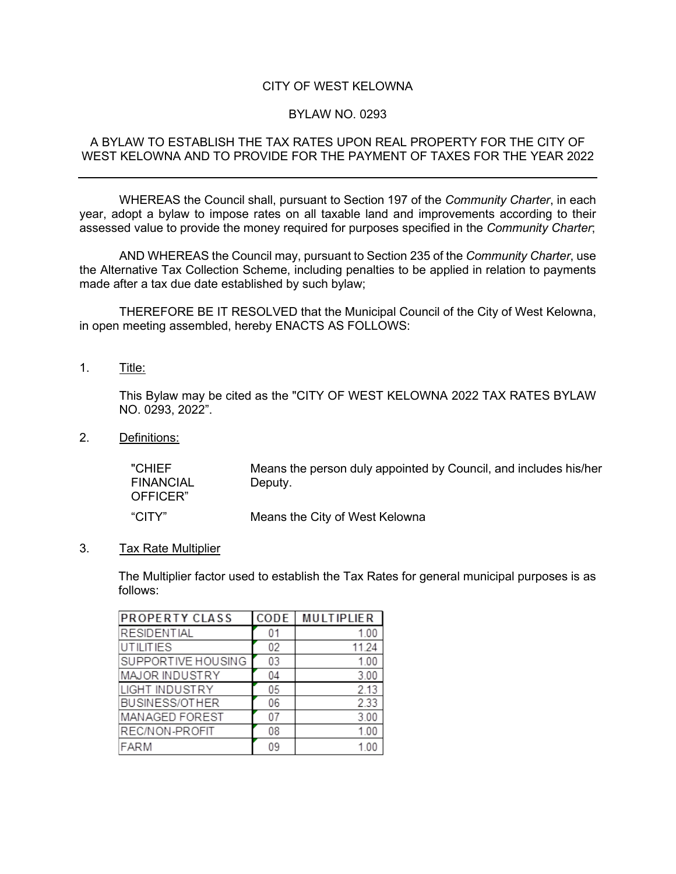## CITY OF WEST KELOWNA

## BYLAW NO. 0293

### A BYLAW TO ESTABLISH THE TAX RATES UPON REAL PROPERTY FOR THE CITY OF WEST KELOWNA AND TO PROVIDE FOR THE PAYMENT OF TAXES FOR THE YEAR 2022

WHEREAS the Council shall, pursuant to Section 197 of the *Community Charter*, in each year, adopt a bylaw to impose rates on all taxable land and improvements according to their assessed value to provide the money required for purposes specified in the *Community Charter*;

AND WHEREAS the Council may, pursuant to Section 235 of the *Community Charter*, use the Alternative Tax Collection Scheme, including penalties to be applied in relation to payments made after a tax due date established by such bylaw;

THEREFORE BE IT RESOLVED that the Municipal Council of the City of West Kelowna, in open meeting assembled, hereby ENACTS AS FOLLOWS:

1. Title:

This Bylaw may be cited as the "CITY OF WEST KELOWNA 2022 TAX RATES BYLAW NO. 0293, 2022".

2. Definitions:

"CHIEF FINANCIAL OFFICER" Means the person duly appointed by Council, and includes his/her Deputy. "CITY" Means the City of West Kelowna

3. Tax Rate Multiplier

The Multiplier factor used to establish the Tax Rates for general municipal purposes is as follows:

| <b>PROPERTY CLASS</b> | CODE | <b>MULTIPLIER</b> |
|-----------------------|------|-------------------|
| <b>RESIDENTIAL</b>    |      | 1.00              |
| <b>UTILITIES</b>      | 02   | 11.24             |
| SUPPORTIVE HOUSING    | 03   | 1.00              |
| MAJOR INDUSTRY        | 04   | 3.00              |
| <b>LIGHT INDUSTRY</b> | 05   | 2.13              |
| <b>BUSINESS/OTHER</b> | 06   | 2.33              |
| MANAGED FOREST        | 07   | 3.00              |
| REC/NON-PROFIT        | 08   | 1.00              |
| FARM                  | 09   | 1 0 0             |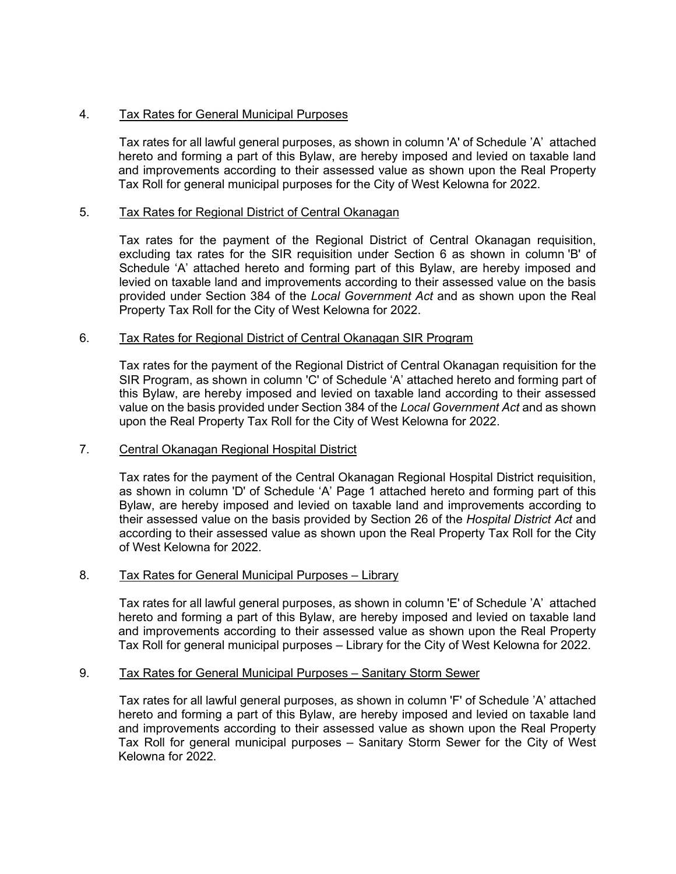# 4. Tax Rates for General Municipal Purposes

Tax rates for all lawful general purposes, as shown in column 'A' of Schedule 'A' attached hereto and forming a part of this Bylaw, are hereby imposed and levied on taxable land and improvements according to their assessed value as shown upon the Real Property Tax Roll for general municipal purposes for the City of West Kelowna for 2022.

## 5. Tax Rates for Regional District of Central Okanagan

Tax rates for the payment of the Regional District of Central Okanagan requisition, excluding tax rates for the SIR requisition under Section 6 as shown in column 'B' of Schedule 'A' attached hereto and forming part of this Bylaw, are hereby imposed and levied on taxable land and improvements according to their assessed value on the basis provided under Section 384 of the *Local Government Act* and as shown upon the Real Property Tax Roll for the City of West Kelowna for 2022.

## 6. Tax Rates for Regional District of Central Okanagan SIR Program

Tax rates for the payment of the Regional District of Central Okanagan requisition for the SIR Program, as shown in column 'C' of Schedule 'A' attached hereto and forming part of this Bylaw, are hereby imposed and levied on taxable land according to their assessed value on the basis provided under Section 384 of the *Local Government Act* and as shown upon the Real Property Tax Roll for the City of West Kelowna for 2022.

## 7. Central Okanagan Regional Hospital District

Tax rates for the payment of the Central Okanagan Regional Hospital District requisition, as shown in column 'D' of Schedule 'A' Page 1 attached hereto and forming part of this Bylaw, are hereby imposed and levied on taxable land and improvements according to their assessed value on the basis provided by Section 26 of the *Hospital District Act* and according to their assessed value as shown upon the Real Property Tax Roll for the City of West Kelowna for 2022.

#### 8. Tax Rates for General Municipal Purposes – Library

Tax rates for all lawful general purposes, as shown in column 'E' of Schedule 'A' attached hereto and forming a part of this Bylaw, are hereby imposed and levied on taxable land and improvements according to their assessed value as shown upon the Real Property Tax Roll for general municipal purposes – Library for the City of West Kelowna for 2022.

#### 9. Tax Rates for General Municipal Purposes – Sanitary Storm Sewer

Tax rates for all lawful general purposes, as shown in column 'F' of Schedule 'A' attached hereto and forming a part of this Bylaw, are hereby imposed and levied on taxable land and improvements according to their assessed value as shown upon the Real Property Tax Roll for general municipal purposes – Sanitary Storm Sewer for the City of West Kelowna for 2022.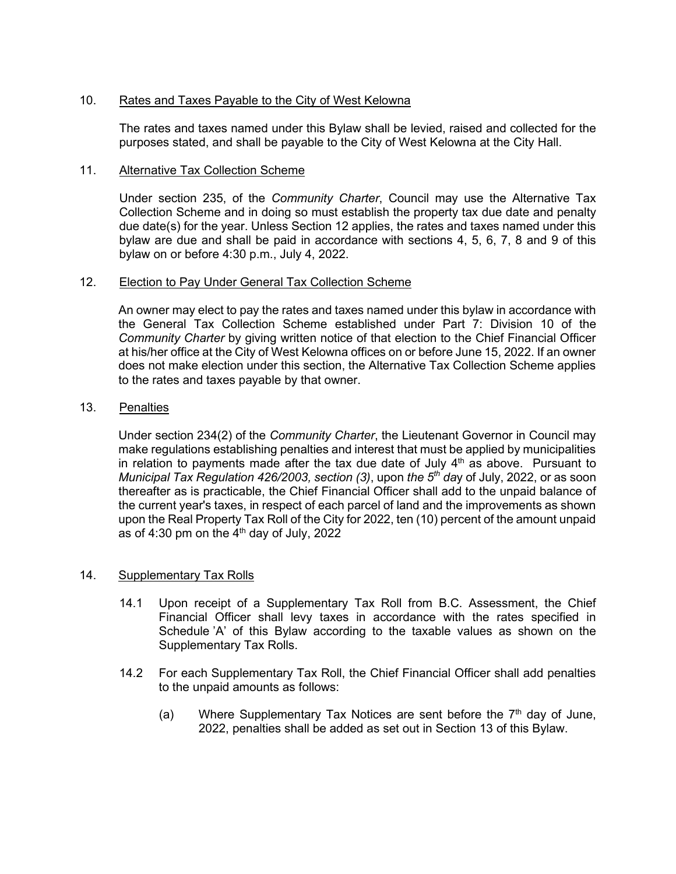## 10. Rates and Taxes Payable to the City of West Kelowna

The rates and taxes named under this Bylaw shall be levied, raised and collected for the purposes stated, and shall be payable to the City of West Kelowna at the City Hall.

#### 11. Alternative Tax Collection Scheme

Under section 235, of the *Community Charter*, Council may use the Alternative Tax Collection Scheme and in doing so must establish the property tax due date and penalty due date(s) for the year. Unless Section 12 applies, the rates and taxes named under this bylaw are due and shall be paid in accordance with sections 4, 5, 6, 7, 8 and 9 of this bylaw on or before 4:30 p.m., July 4, 2022.

#### 12. Election to Pay Under General Tax Collection Scheme

An owner may elect to pay the rates and taxes named under this bylaw in accordance with the General Tax Collection Scheme established under Part 7: Division 10 of the *Community Charter* by giving written notice of that election to the Chief Financial Officer at his/her office at the City of West Kelowna offices on or before June 15, 2022. If an owner does not make election under this section, the Alternative Tax Collection Scheme applies to the rates and taxes payable by that owner.

## 13. Penalties

Under section 234(2) of the *Community Charter*, the Lieutenant Governor in Council may make regulations establishing penalties and interest that must be applied by municipalities in relation to payments made after the tax due date of July  $4<sup>th</sup>$  as above. Pursuant to *Municipal Tax Regulation 426/2003, section (3)*, upon *the 5th da*y of July, 2022, or as soon thereafter as is practicable, the Chief Financial Officer shall add to the unpaid balance of the current year's taxes, in respect of each parcel of land and the improvements as shown upon the Real Property Tax Roll of the City for 2022, ten (10) percent of the amount unpaid as of 4:30 pm on the  $4<sup>th</sup>$  day of July, 2022

#### 14. Supplementary Tax Rolls

- 14.1 Upon receipt of a Supplementary Tax Roll from B.C. Assessment, the Chief Financial Officer shall levy taxes in accordance with the rates specified in Schedule 'A' of this Bylaw according to the taxable values as shown on the Supplementary Tax Rolls.
- 14.2 For each Supplementary Tax Roll, the Chief Financial Officer shall add penalties to the unpaid amounts as follows:
	- (a) Where Supplementary Tax Notices are sent before the  $7<sup>th</sup>$  day of June, 2022, penalties shall be added as set out in Section 13 of this Bylaw.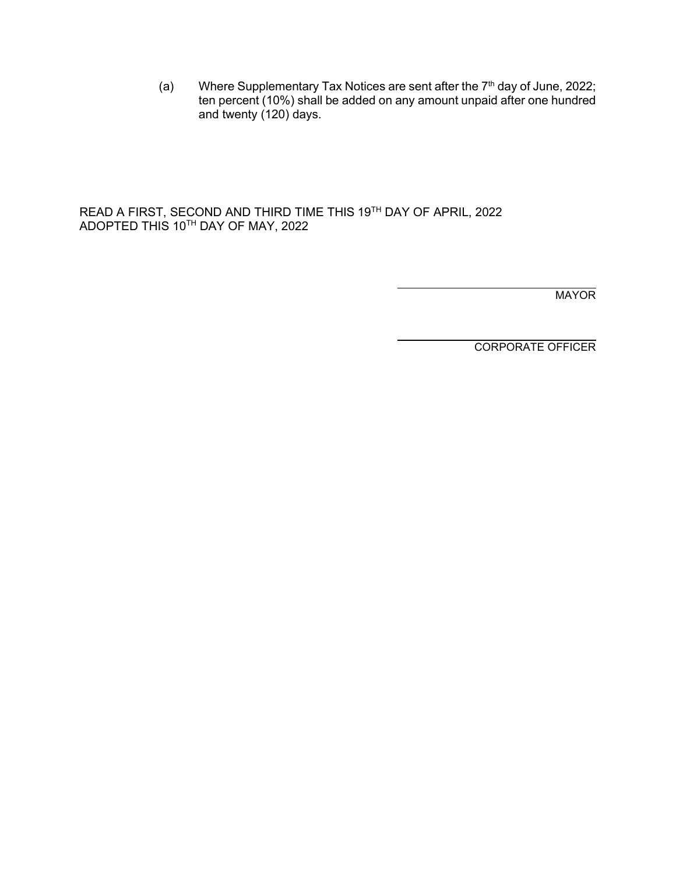(a) Where Supplementary Tax Notices are sent after the  $7<sup>th</sup>$  day of June, 2022; ten percent (10%) shall be added on any amount unpaid after one hundred and twenty (120) days.

READ A FIRST, SECOND AND THIRD TIME THIS 19TH DAY OF APRIL, 2022 ADOPTED THIS 10 $^{\text{\tiny{\textsf{TH}}}}$  DAY OF MAY, 2022

MAYOR

CORPORATE OFFICER